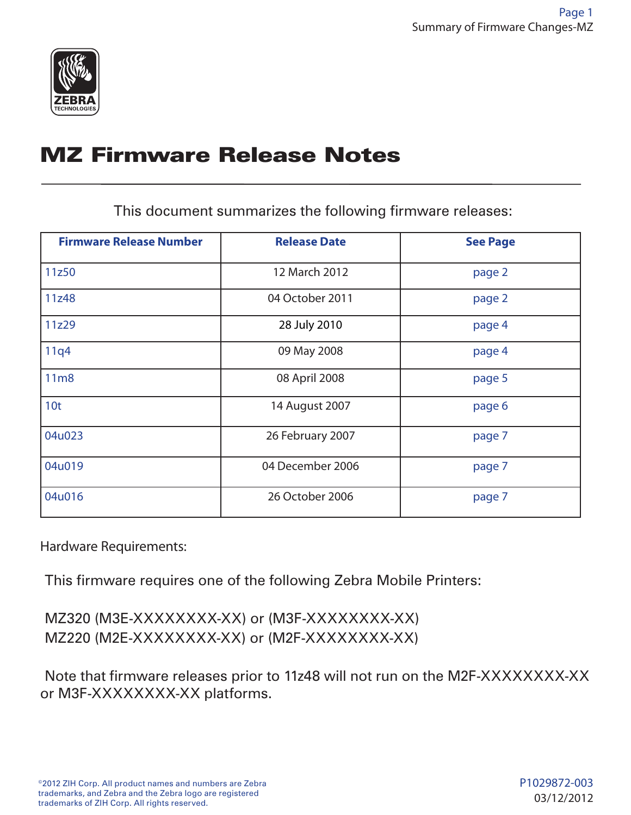

# MZ Firmware Release Notes

This document summarizes the following firmware releases:

| <b>Firmware Release Number</b> | <b>Release Date</b> | <b>See Page</b> |
|--------------------------------|---------------------|-----------------|
| 11z50                          | 12 March 2012       | page 2          |
| 11z48                          | 04 October 2011     | page 2          |
| 11z29                          | 28 July 2010        | page 4          |
| 11q4                           | 09 May 2008         | page 4          |
| 11m8                           | 08 April 2008       | page 5          |
| 10 <sub>t</sub>                | 14 August 2007      | page 6          |
| 04u023                         | 26 February 2007    | page 7          |
| 04u019                         | 04 December 2006    | page 7          |
| 04u016                         | 26 October 2006     | page 7          |

Hardware Requirements:

This firmware requires one of the following Zebra Mobile Printers:

MZ320 (M3E-XXXXXXXX-XX) or (M3F-XXXXXXXX-XX) MZ220 (M2E-XXXXXXXX-XX) or (M2F-XXXXXXXX-XX)

Note that firmware releases prior to 11z48 will not run on the M2F-XXXXXXXX-XX or M3F-XXXXXXXX-XX platforms.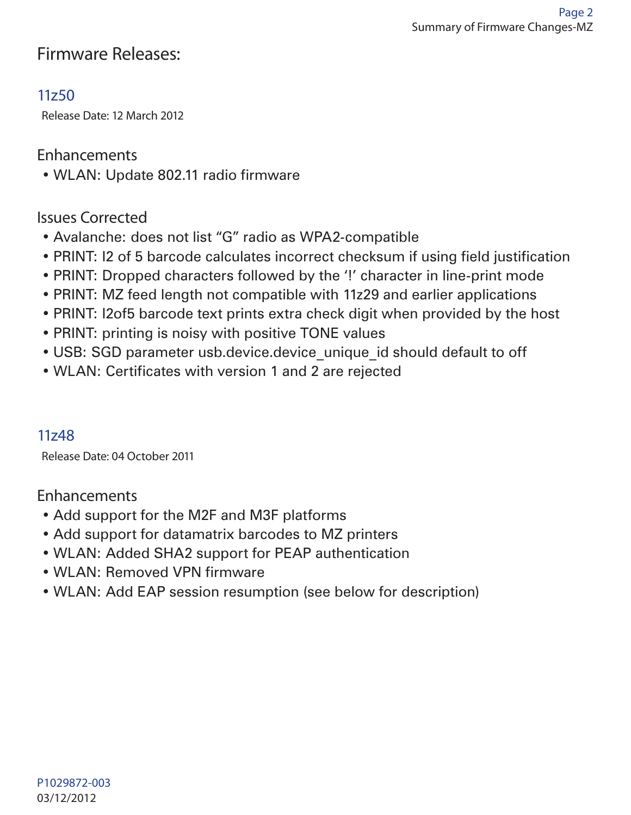# Firmware Releases:

# 11z50

Release Date: 12 March 2012

#### Enhancements

• WLAN: Update 802.11 radio firmware

#### Issues Corrected

- Avalanche: does not list "G" radio as WPA2-compatible
- PRINT: I2 of 5 barcode calculates incorrect checksum if using field justification
- PRINT: Dropped characters followed by the '!' character in line-print mode
- PRINT: MZ feed length not compatible with 11z29 and earlier applications
- PRINT: I2of5 barcode text prints extra check digit when provided by the host
- PRINT: printing is noisy with positive TONE values
- USB: SGD parameter usb.device.device unique id should default to off
- WLAN: Certificates with version 1 and 2 are rejected

#### 11z48

Release Date: 04 October 2011

#### Enhancements

- Add support for the M2F and M3F platforms
- Add support for datamatrix barcodes to MZ printers
- WLAN: Added SHA2 support for PEAP authentication
- WLAN: Removed VPN firmware
- WLAN: Add EAP session resumption (see below for description)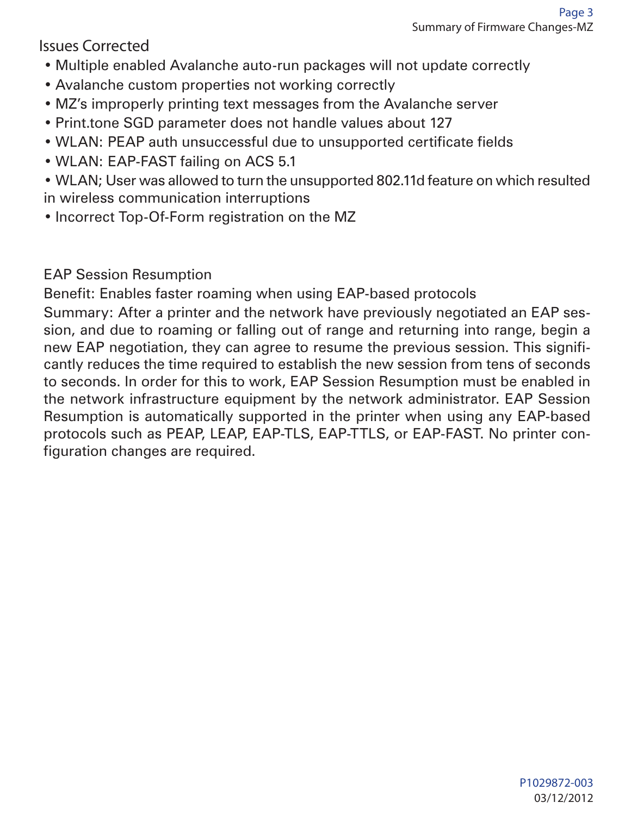Issues Corrected

- Multiple enabled Avalanche auto-run packages will not update correctly
- Avalanche custom properties not working correctly
- MZ's improperly printing text messages from the Avalanche server
- Print.tone SGD parameter does not handle values about 127
- WLAN: PEAP auth unsuccessful due to unsupported certificate fields
- WLAN: EAP-FAST failing on ACS 5.1

• WLAN; User was allowed to turn the unsupported 802.11d feature on which resulted in wireless communication interruptions

• Incorrect Top-Of-Form registration on the MZ

EAP Session Resumption

Benefit: Enables faster roaming when using EAP-based protocols

Summary: After a printer and the network have previously negotiated an EAP session, and due to roaming or falling out of range and returning into range, begin a new EAP negotiation, they can agree to resume the previous session. This significantly reduces the time required to establish the new session from tens of seconds to seconds. In order for this to work, EAP Session Resumption must be enabled in the network infrastructure equipment by the network administrator. EAP Session Resumption is automatically supported in the printer when using any EAP-based protocols such as PEAP, LEAP, EAP-TLS, EAP-TTLS, or EAP-FAST. No printer configuration changes are required.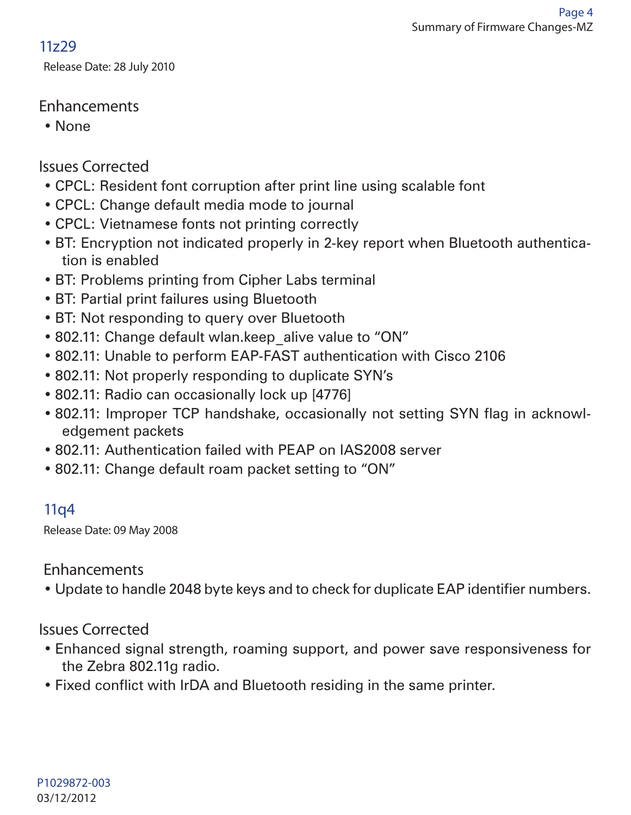# 11z29

Release Date: 28 July 2010

# Enhancements

• None

# Issues Corrected

- CPCL: Resident font corruption after print line using scalable font
- CPCL: Change default media mode to journal
- CPCL: Vietnamese fonts not printing correctly
- BT: Encryption not indicated properly in 2-key report when Bluetooth authentication is enabled
- BT: Problems printing from Cipher Labs terminal
- BT: Partial print failures using Bluetooth
- BT: Not responding to query over Bluetooth
- 802.11: Change default wlan.keep alive value to "ON"
- 802.11: Unable to perform EAP-FAST authentication with Cisco 2106
- 802.11: Not properly responding to duplicate SYN's
- 802.11: Radio can occasionally lock up [4776]
- 802.11: Improper TCP handshake, occasionally not setting SYN flag in acknowledgement packets
- 802.11: Authentication failed with PEAP on IAS2008 server
- 802.11: Change default roam packet setting to "ON"

# 11q4

Release Date: 09 May 2008

#### Enhancements

• Update to handle 2048 byte keys and to check for duplicate EAP identifier numbers.

#### Issues Corrected

- Enhanced signal strength, roaming support, and power save responsiveness for the Zebra 802.11g radio.
- Fixed conflict with IrDA and Bluetooth residing in the same printer.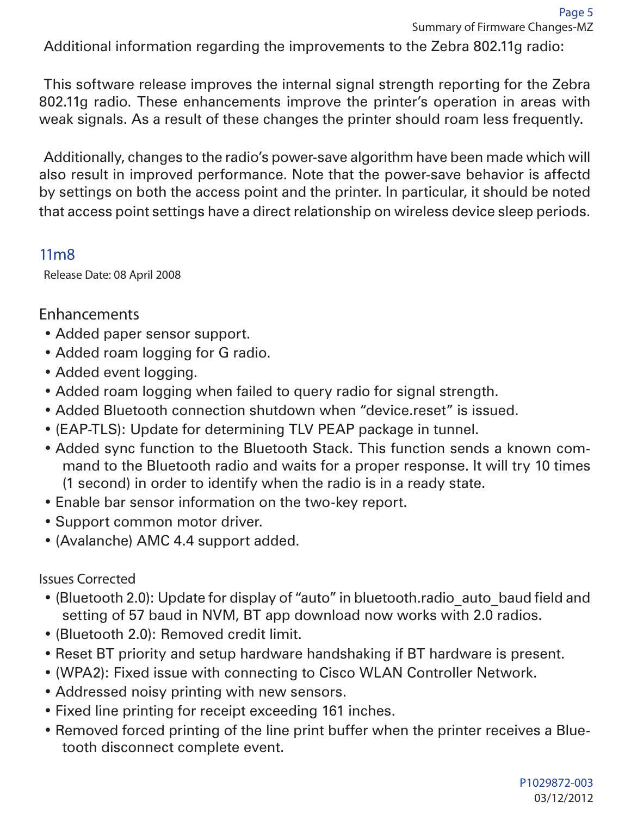Additional information regarding the improvements to the Zebra 802.11g radio:

This software release improves the internal signal strength reporting for the Zebra 802.11g radio. These enhancements improve the printer's operation in areas with weak signals. As a result of these changes the printer should roam less frequently.

Additionally, changes to the radio's power-save algorithm have been made which will also result in improved performance. Note that the power-save behavior is affectd by settings on both the access point and the printer. In particular, it should be noted that access point settings have a direct relationship on wireless device sleep periods.

# 11m8

Release Date: 08 April 2008

# **Enhancements**

- Added paper sensor support.
- Added roam logging for G radio.
- Added event logging.
- Added roam logging when failed to query radio for signal strength.
- Added Bluetooth connection shutdown when "device.reset" is issued.
- (EAP-TLS): Update for determining TLV PEAP package in tunnel.
- Added sync function to the Bluetooth Stack. This function sends a known command to the Bluetooth radio and waits for a proper response. It will try 10 times (1 second) in order to identify when the radio is in a ready state.
- Enable bar sensor information on the two-key report.
- Support common motor driver.
- (Avalanche) AMC 4.4 support added.

Issues Corrected

- (Bluetooth 2.0): Update for display of "auto" in bluetooth.radio\_auto\_baud field and setting of 57 baud in NVM, BT app download now works with 2.0 radios.
- (Bluetooth 2.0): Removed credit limit.
- Reset BT priority and setup hardware handshaking if BT hardware is present.
- (WPA2): Fixed issue with connecting to Cisco WLAN Controller Network.
- Addressed noisy printing with new sensors.
- Fixed line printing for receipt exceeding 161 inches.
- Removed forced printing of the line print buffer when the printer receives a Bluetooth disconnect complete event.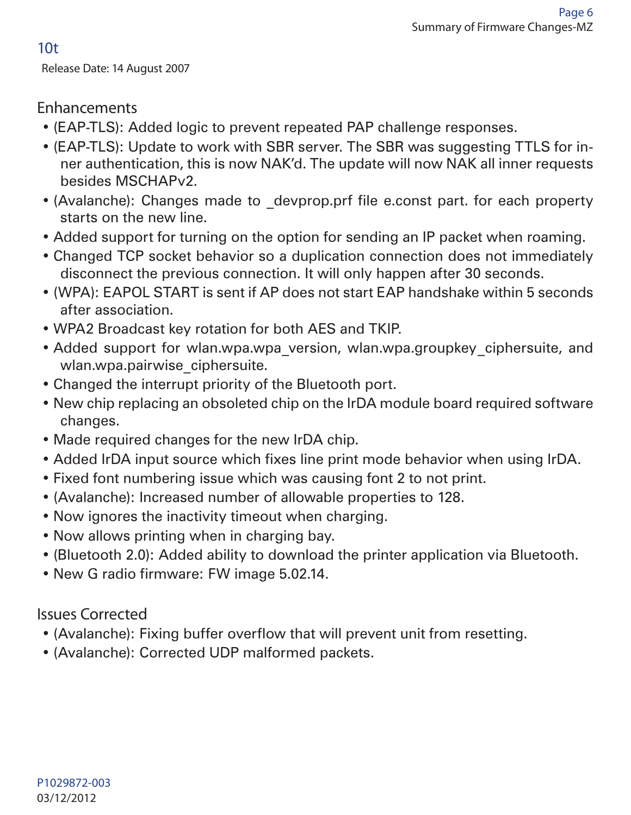10t

Release Date: 14 August 2007

# Enhancements

- (EAP-TLS): Added logic to prevent repeated PAP challenge responses.
- (EAP-TLS): Update to work with SBR server. The SBR was suggesting TTLS for inner authentication, this is now NAK'd. The update will now NAK all inner requests besides MSCHAPv2.
- (Avalanche): Changes made to \_devprop.prf file e.const part. for each property starts on the new line.
- Added support for turning on the option for sending an IP packet when roaming.
- Changed TCP socket behavior so a duplication connection does not immediately disconnect the previous connection. It will only happen after 30 seconds.
- (WPA): EAPOL START is sent if AP does not start EAP handshake within 5 seconds after association.
- WPA2 Broadcast key rotation for both AES and TKIP.
- Added support for wlan.wpa.wpa version, wlan.wpa.groupkey ciphersuite, and wlan.wpa.pairwise ciphersuite.
- Changed the interrupt priority of the Bluetooth port.
- New chip replacing an obsoleted chip on the IrDA module board required software changes.
- Made required changes for the new IrDA chip.
- Added IrDA input source which fixes line print mode behavior when using IrDA.
- Fixed font numbering issue which was causing font 2 to not print.
- (Avalanche): Increased number of allowable properties to 128.
- Now ignores the inactivity timeout when charging.
- Now allows printing when in charging bay.
- (Bluetooth 2.0): Added ability to download the printer application via Bluetooth.
- New G radio firmware: FW image 5.02.14.

Issues Corrected

- (Avalanche): Fixing buffer overflow that will prevent unit from resetting.
- (Avalanche): Corrected UDP malformed packets.